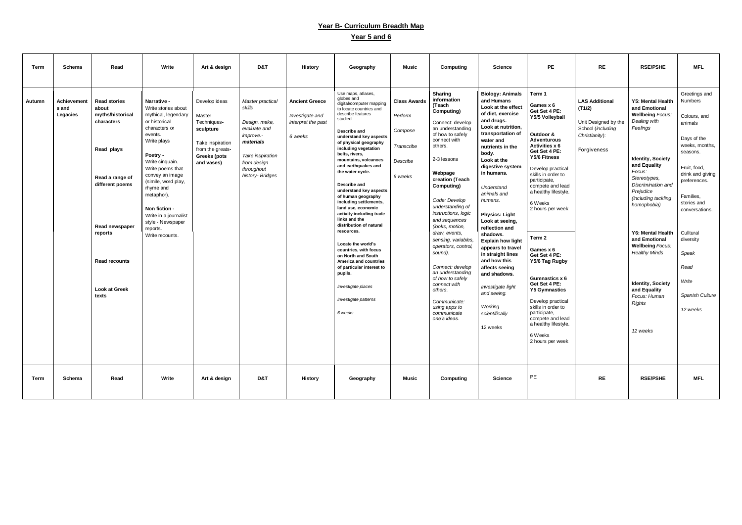## **Year B- Curriculum Breadth Map**

## **Year 5 and 6**

| Term        | Schema                           | Read                                                                                                                                                                                                            | Write                                                                                                                                                                                                                                                                                                                                       | Art & design                                                                                                                     | D&T                                                                                                                                                               | <b>History</b>                                                            | Geography                                                                                                                                                                                                                                                                                                                                                                                                                                                                                                                                                                                                                                                                                                            | <b>Music</b>                                                                   | Computing                                                                                                                                                                                                                                                                                                                                                                                                                                                                                                                                | <b>Science</b>                                                                                                                                                                                                                                                                                                                                                                                                                                                                                                                                              | <b>PE</b>                                                                                                                                                                                                                                                                                                                                                                                                                                                                                                                                             | <b>RE</b>                                                                                                     | <b>RSE/PSHE</b>                                                                                                                                                                                                                                                                                                                                                                                                                   | <b>MFL</b>                                                                                                                                                                                                                                                                            |
|-------------|----------------------------------|-----------------------------------------------------------------------------------------------------------------------------------------------------------------------------------------------------------------|---------------------------------------------------------------------------------------------------------------------------------------------------------------------------------------------------------------------------------------------------------------------------------------------------------------------------------------------|----------------------------------------------------------------------------------------------------------------------------------|-------------------------------------------------------------------------------------------------------------------------------------------------------------------|---------------------------------------------------------------------------|----------------------------------------------------------------------------------------------------------------------------------------------------------------------------------------------------------------------------------------------------------------------------------------------------------------------------------------------------------------------------------------------------------------------------------------------------------------------------------------------------------------------------------------------------------------------------------------------------------------------------------------------------------------------------------------------------------------------|--------------------------------------------------------------------------------|------------------------------------------------------------------------------------------------------------------------------------------------------------------------------------------------------------------------------------------------------------------------------------------------------------------------------------------------------------------------------------------------------------------------------------------------------------------------------------------------------------------------------------------|-------------------------------------------------------------------------------------------------------------------------------------------------------------------------------------------------------------------------------------------------------------------------------------------------------------------------------------------------------------------------------------------------------------------------------------------------------------------------------------------------------------------------------------------------------------|-------------------------------------------------------------------------------------------------------------------------------------------------------------------------------------------------------------------------------------------------------------------------------------------------------------------------------------------------------------------------------------------------------------------------------------------------------------------------------------------------------------------------------------------------------|---------------------------------------------------------------------------------------------------------------|-----------------------------------------------------------------------------------------------------------------------------------------------------------------------------------------------------------------------------------------------------------------------------------------------------------------------------------------------------------------------------------------------------------------------------------|---------------------------------------------------------------------------------------------------------------------------------------------------------------------------------------------------------------------------------------------------------------------------------------|
| Autumn      | Achievement<br>s and<br>Legacies | <b>Read stories</b><br>about<br>myths/historical<br>characters<br>Read plays<br>Read a range of<br>different poems<br><b>Read newspaper</b><br>reports<br><b>Read recounts</b><br><b>Look at Greek</b><br>texts | Narrative -<br>Write stories about<br>mythical, legendary<br>or historical<br>characters or<br>events.<br>Write plays<br>Poetry -<br>Write cinquain.<br>Write poems that<br>convey an image<br>(simile, word play,<br>rhyme and<br>metaphor).<br>Non fiction -<br>Write in a journalist<br>style - Newspaper<br>reports.<br>Write recounts. | Develop ideas<br>Master<br>Techniques-<br>sculpture<br>Take inspiration<br>from the greats-<br><b>Greeks (pots</b><br>and vases) | Master practical<br>skills<br>Design, make,<br>evaluate and<br><i>improve.-</i><br>materials<br>Take inspiration<br>from design<br>throughout<br>history- Bridges | <b>Ancient Greece</b><br>Investigate and<br>interpret the past<br>6 weeks | Use maps, atlases,<br>globes and<br>digital/computer mapping<br>to locate countries and<br>describe features<br>studied.<br>Describe and<br>understand key aspects<br>of physical geography<br>including vegetation<br>belts, rivers,<br>mountains, volcanoes<br>and earthquakes and<br>the water cycle.<br>Describe and<br>understand key aspects<br>of human geography<br>including settlements,<br>land use, economic<br>activity including trade<br>links and the<br>distribution of natural<br>resources.<br>Locate the world's<br>countries, with focus<br>on North and South<br><b>America and countries</b><br>of particular interest to<br>pupils.<br>Investigate places<br>Investigate patterns<br>6 weeks | <b>Class Awards</b><br>Perform<br>Compose<br>Transcribe<br>Describe<br>6 weeks | <b>Sharing</b><br>information<br>(Teach<br>Computing)<br>Connect: develop<br>an understanding<br>of how to safely<br>connect with<br>others.<br>2-3 lessons<br>Webpage<br>creation (Teach<br>Computing)<br>Code: Develop<br>understanding of<br>instructions, logic<br>and sequences<br>(looks, motion,<br>draw, events,<br>sensing, variables,<br>operators, control,<br>sound).<br>Connect: develop<br>an understanding<br>of how to safely<br>connect with<br>others.<br>Communicate:<br>using apps to<br>communicate<br>one's ideas. | <b>Biology: Animals</b><br>and Humans<br>Look at the effect<br>of diet, exercise<br>and drugs.<br>Look at nutrition,<br>transportation of<br>water and<br>nutrients in the<br>body.<br>Look at the<br>digestive system<br>in humans.<br>Understand<br>animals and<br>humans.<br><b>Physics: Light</b><br>Look at seeing,<br>reflection and<br>shadows.<br><b>Explain how light</b><br>appears to travel<br>in straight lines<br>and how this<br>affects seeing<br>and shadows.<br>Investigate light<br>and seeing.<br>Working<br>scientifically<br>12 weeks | Term 1<br>Games x 6<br>Get Set 4 PE:<br>Y5/5 Volleyball<br>Outdoor &<br><b>Adventurous</b><br><b>Activities x 6</b><br>Get Set 4 PE:<br>Y5/6 Fitness<br>Develop practical<br>skills in order to<br>participate,<br>compete and lead<br>a healthy lifestyle.<br>6 Weeks<br>2 hours per week<br>Term 2<br>Games x 6<br>Get Set 4 PE:<br>Y5/6 Tag Rugby<br>Gumnastics x 6<br>Get Set 4 PE:<br><b>Y5 Gymnastics</b><br>Develop practical<br>skills in order to<br>participate,<br>compete and lead<br>a healthy lifestyle.<br>6 Weeks<br>2 hours per week | <b>LAS Additional</b><br>(T1/2)<br>Unit Designed by the<br>School (including<br>Christianity):<br>Forgiveness | <b>Y5: Mental Health</b><br>and Emotional<br><b>Wellbeing Focus:</b><br>Dealing with<br>Feelings<br><b>Identity, Society</b><br>and Equality<br>Focus:<br>Stereotypes,<br>Discrimination and<br>Prejudice<br>(including tackling<br>homophobia)<br><b>Y6: Mental Health</b><br>and Emotional<br><b>Wellbeing Focus:</b><br><b>Healthy Minds</b><br><b>Identity, Society</b><br>and Equality<br>Focus: Human<br>Rights<br>12 weeks | Greetings and<br>Numbers<br>Colours, and<br>animals<br>Days of the<br>weeks, months,<br>seasons.<br>Fruit, food,<br>drink and giving<br>preferences.<br>Families,<br>stories and<br>conversations.<br>Culltural<br>diversity<br>Speak<br>Read<br>Write<br>Spanish Culture<br>12 weeks |
| <b>Term</b> | <b>Schema</b>                    | Read                                                                                                                                                                                                            | Write                                                                                                                                                                                                                                                                                                                                       | Art & design                                                                                                                     | D&T                                                                                                                                                               | <b>History</b>                                                            | Geography                                                                                                                                                                                                                                                                                                                                                                                                                                                                                                                                                                                                                                                                                                            | Music                                                                          | Computing                                                                                                                                                                                                                                                                                                                                                                                                                                                                                                                                | <b>Science</b>                                                                                                                                                                                                                                                                                                                                                                                                                                                                                                                                              | PE                                                                                                                                                                                                                                                                                                                                                                                                                                                                                                                                                    | <b>RE</b>                                                                                                     | <b>RSE/PSHE</b>                                                                                                                                                                                                                                                                                                                                                                                                                   | <b>MFL</b>                                                                                                                                                                                                                                                                            |